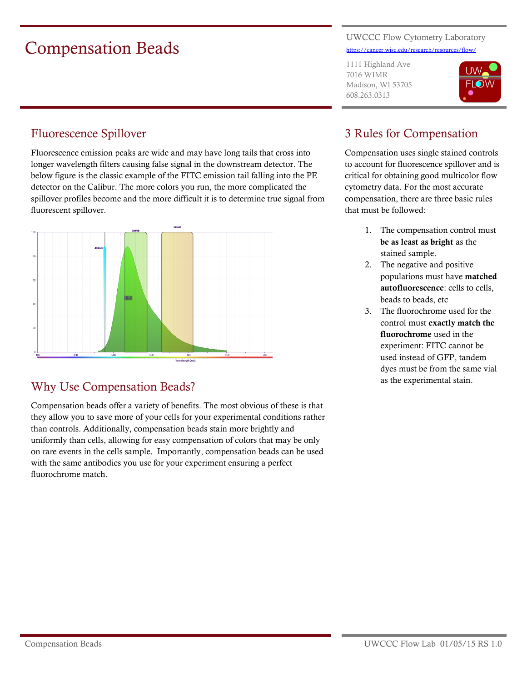# Compensation Beads

#### UWCCC Flow Cytometry Laboratory <https://cancer.wisc.edu/research/resources/flow/>

1111 Highland Ave 7016 WIMR Madison, WI 53705 608.263.0313



# Fluorescence Spillover

Fluorescence emission peaks are wide and may have long tails that cross into longer wavelength filters causing false signal in the downstream detector. The below figure is the classic example of the FITC emission tail falling into the PE detector on the Calibur. The more colors you run, the more complicated the spillover profiles become and the more difficult it is to determine true signal from fluorescent spillover.



# Why Use Compensation Beads?

Compensation beads offer a variety of benefits. The most obvious of these is that they allow you to save more of your cells for your experimental conditions rather than controls. Additionally, compensation beads stain more brightly and uniformly than cells, allowing for easy compensation of colors that may be only on rare events in the cells sample. Importantly, compensation beads can be used with the same antibodies you use for your experiment ensuring a perfect fluorochrome match.

# 3 Rules for Compensation

Compensation uses single stained controls to account for fluorescence spillover and is critical for obtaining good multicolor flow cytometry data. For the most accurate compensation, there are three basic rules that must be followed:

- 1. The compensation control must **be as least as bright** as the stained sample.
- 2. The negative and positive populations must have **matched autofluorescence**: cells to cells, beads to beads, etc
- 3. The fluorochrome used for the control must **exactly match the fluorochrome** used in the experiment: FITC cannot be used instead of GFP, tandem dyes must be from the same vial as the experimental stain.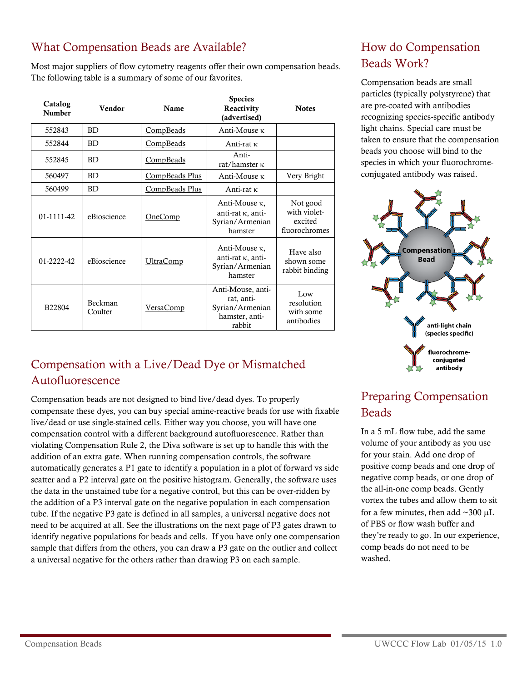#### What Compensation Beads are Available?

Most major suppliers of flow cytometry reagents offer their own compensation beads. The following table is a summary of some of our favorites.

| Catalog<br><b>Number</b> | Vendor             | <b>Name</b>      | <b>Species</b><br>Reactivity<br>(advertised)                                   | <b>Notes</b>                                         |
|--------------------------|--------------------|------------------|--------------------------------------------------------------------------------|------------------------------------------------------|
| 552843                   | <b>BD</b>          | <b>CompBeads</b> | Anti-Mouse <sub>K</sub>                                                        |                                                      |
| 552844                   | <b>BD</b>          | CompBeads        | Anti-rat $\kappa$                                                              |                                                      |
| 552845                   | <b>BD</b>          | CompBeads        | Anti-<br>rat/hamster $\kappa$                                                  |                                                      |
| 560497                   | <b>BD</b>          | CompBeads Plus   | Anti-Mouse <sub>K</sub>                                                        | Very Bright                                          |
| 560499                   | <b>BD</b>          | CompBeads Plus   | Anti-rat $\kappa$                                                              |                                                      |
| 01-1111-42               | eBioscience        | <u>OneComp</u>   | Anti-Mouse κ,<br>anti-rat $\kappa$ , anti-<br>Syrian/Armenian<br>hamster       | Not good<br>with violet-<br>excited<br>fluorochromes |
| 01-2222-42               | eBioscience        | <u>UltraComp</u> | Anti-Mouse κ,<br>anti-rat K, anti-<br>Syrian/Armenian<br>hamster               | Have also<br>shown some<br>rabbit binding            |
| B22804                   | Beckman<br>Coulter | VersaComp        | Anti-Mouse, anti-<br>rat, anti-<br>Syrian/Armenian<br>hamster, anti-<br>rabbit | Low<br>resolution<br>with some<br>antibodies         |

# Compensation with a Live/Dead Dye or Mismatched Autofluorescence

Compensation beads are not designed to bind live/dead dyes. To properly compensate these dyes, you can buy special amine-reactive beads for use with fixable live/dead or use single-stained cells. Either way you choose, you will have one compensation control with a different background autofluorescence. Rather than violating Compensation Rule 2, the Diva software is set up to handle this with the addition of an extra gate. When running compensation controls, the software automatically generates a P1 gate to identify a population in a plot of forward vs side scatter and a P2 interval gate on the positive histogram. Generally, the software uses the data in the unstained tube for a negative control, but this can be over-ridden by the addition of a P3 interval gate on the negative population in each compensation tube. If the negative P3 gate is defined in all samples, a universal negative does not need to be acquired at all. See the illustrations on the next page of P3 gates drawn to identify negative populations for beads and cells. If you have only one compensation sample that differs from the others, you can draw a P3 gate on the outlier and collect a universal negative for the others rather than drawing P3 on each sample.

# How do Compensation Beads Work?

Compensation beads are small particles (typically polystyrene) that are pre-coated with antibodies recognizing species-specific antibody light chains. Special care must be taken to ensure that the compensation beads you choose will bind to the species in which your fluorochromeconjugated antibody was raised.



# Preparing Compensation Beads

In a 5 mL flow tube, add the same volume of your antibody as you use for your stain. Add one drop of positive comp beads and one drop of negative comp beads, or one drop of the all-in-one comp beads. Gently vortex the tubes and allow them to sit for a few minutes, then add  $\sim$ 300 µL of PBS or flow wash buffer and they're ready to go. In our experience, comp beads do not need to be washed.